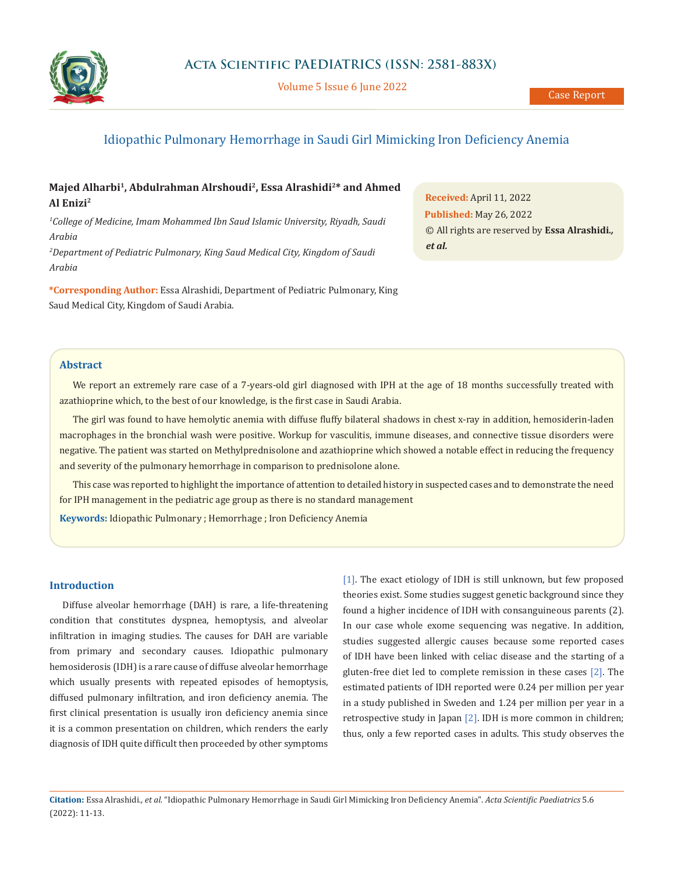

Volume 5 Issue 6 June 2022

# Idiopathic Pulmonary Hemorrhage in Saudi Girl Mimicking Iron Deficiency Anemia

## Majed Alharbi<sup>1</sup>, Abdulrahman Alrshoudi<sup>2</sup>, Essa Alrashidi<sup>2</sup>\* and Ahmed **Al Enizi2**

<sup>1</sup>College of Medicine, Imam Mohammed Ibn Saud Islamic University, Riyadh, Saudi *Arabia*

*2 Department of Pediatric Pulmonary, King Saud Medical City, Kingdom of Saudi Arabia*

**\*Corresponding Author:** Essa Alrashidi, Department of Pediatric Pulmonary, King Saud Medical City, Kingdom of Saudi Arabia.

**Received:** April 11, 2022 **Published:** May 26, 2022 © All rights are reserved by **Essa Alrashidi***., et al.*

## **Abstract**

We report an extremely rare case of a 7-years-old girl diagnosed with IPH at the age of 18 months successfully treated with azathioprine which, to the best of our knowledge, is the first case in Saudi Arabia.

The girl was found to have hemolytic anemia with diffuse fluffy bilateral shadows in chest x-ray in addition, hemosiderin-laden macrophages in the bronchial wash were positive. Workup for vasculitis, immune diseases, and connective tissue disorders were negative. The patient was started on Methylprednisolone and azathioprine which showed a notable effect in reducing the frequency and severity of the pulmonary hemorrhage in comparison to prednisolone alone.

This case was reported to highlight the importance of attention to detailed history in suspected cases and to demonstrate the need for IPH management in the pediatric age group as there is no standard management

**Keywords:** Idiopathic Pulmonary ; Hemorrhage ; Iron Deficiency Anemia

### **Introduction**

Diffuse alveolar hemorrhage (DAH) is rare, a life-threatening condition that constitutes dyspnea, hemoptysis, and alveolar infiltration in imaging studies. The causes for DAH are variable from primary and secondary causes. Idiopathic pulmonary hemosiderosis (IDH) is a rare cause of diffuse alveolar hemorrhage which usually presents with repeated episodes of hemoptysis, diffused pulmonary infiltration, and iron deficiency anemia. The first clinical presentation is usually iron deficiency anemia since it is a common presentation on children, which renders the early diagnosis of IDH quite difficult then proceeded by other symptoms

[1]. The exact etiology of IDH is still unknown, but few proposed theories exist. Some studies suggest genetic background since they found a higher incidence of IDH with consanguineous parents (2). In our case whole exome sequencing was negative. In addition, studies suggested allergic causes because some reported cases of IDH have been linked with celiac disease and the starting of a gluten-free diet led to complete remission in these cases [2]. The estimated patients of IDH reported were 0.24 per million per year in a study published in Sweden and 1.24 per million per year in a retrospective study in Japan [2]. IDH is more common in children; thus, only a few reported cases in adults. This study observes the

**Citation:** Essa Alrashidi*., et al.* "Idiopathic Pulmonary Hemorrhage in Saudi Girl Mimicking Iron Deficiency Anemia". *Acta Scientific Paediatrics* 5.6 (2022): 11-13.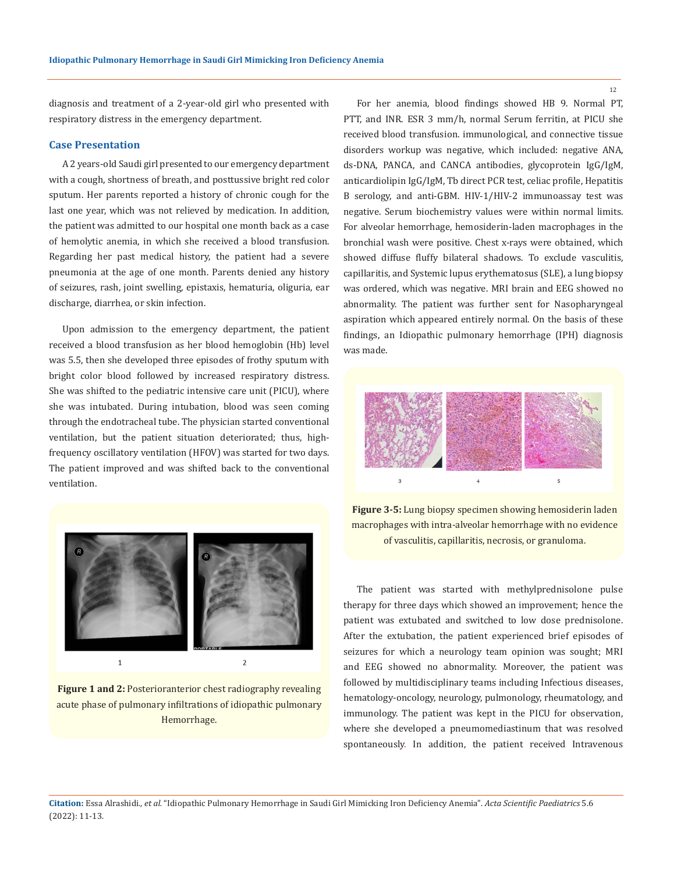diagnosis and treatment of a 2-year-old girl who presented with respiratory distress in the emergency department.

#### **Case Presentation**

A 2 years-old Saudi girl presented to our emergency department with a cough, shortness of breath, and posttussive bright red color sputum. Her parents reported a history of chronic cough for the last one year, which was not relieved by medication. In addition, the patient was admitted to our hospital one month back as a case of hemolytic anemia, in which she received a blood transfusion. Regarding her past medical history, the patient had a severe pneumonia at the age of one month. Parents denied any history of seizures, rash, joint swelling, epistaxis, hematuria, oliguria, ear discharge, diarrhea, or skin infection.

Upon admission to the emergency department, the patient received a blood transfusion as her blood hemoglobin (Hb) level was 5.5, then she developed three episodes of frothy sputum with bright color blood followed by increased respiratory distress. She was shifted to the pediatric intensive care unit (PICU), where she was intubated. During intubation, blood was seen coming through the endotracheal tube. The physician started conventional ventilation, but the patient situation deteriorated; thus, highfrequency oscillatory ventilation (HFOV) was started for two days. The patient improved and was shifted back to the conventional ventilation.



**Figure 1 and 2:** Posterioranterior chest radiography revealing acute phase of pulmonary infiltrations of idiopathic pulmonary Hemorrhage.

For her anemia, blood findings showed HB 9. Normal PT, PTT, and INR. ESR 3 mm/h, normal Serum ferritin, at PICU she received blood transfusion. immunological, and connective tissue disorders workup was negative, which included: negative ANA, ds-DNA, PANCA, and CANCA antibodies, glycoprotein IgG/IgM, anticardiolipin IgG/IgM, Tb direct PCR test, celiac profile, Hepatitis B serology, and anti-GBM. HIV-1/HIV-2 immunoassay test was negative. Serum biochemistry values were within normal limits. For alveolar hemorrhage, hemosiderin-laden macrophages in the bronchial wash were positive. Chest x-rays were obtained, which showed diffuse fluffy bilateral shadows. To exclude vasculitis, capillaritis, and Systemic lupus erythematosus (SLE), a lung biopsy was ordered, which was negative. MRI brain and EEG showed no abnormality. The patient was further sent for Nasopharyngeal aspiration which appeared entirely normal. On the basis of these findings, an Idiopathic pulmonary hemorrhage (IPH) diagnosis was made.



**Figure 3-5:** Lung biopsy specimen showing hemosiderin laden macrophages with intra-alveolar hemorrhage with no evidence of vasculitis, capillaritis, necrosis, or granuloma.

The patient was started with methylprednisolone pulse therapy for three days which showed an improvement; hence the patient was extubated and switched to low dose prednisolone. After the extubation, the patient experienced brief episodes of seizures for which a neurology team opinion was sought; MRI and EEG showed no abnormality. Moreover, the patient was followed by multidisciplinary teams including Infectious diseases, hematology-oncology, neurology, pulmonology, rheumatology, and immunology. The patient was kept in the PICU for observation, where she developed a pneumomediastinum that was resolved spontaneously. In addition, the patient received Intravenous

12